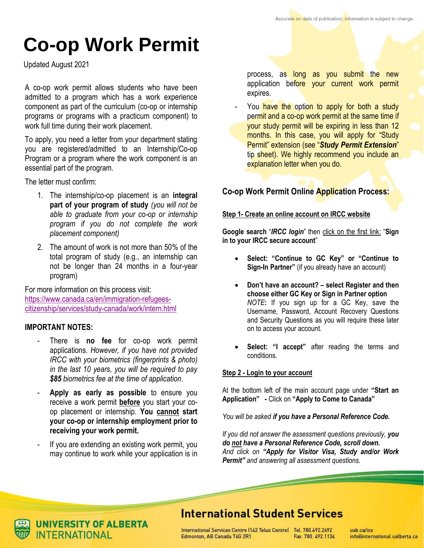# **Co-op Work Permit**

Updated August 2021

A co-op work permit allows students who have been admitted to a program which has a work experience component as part of the curriculum (co-op or internship programs or programs with a practicum component) to work full time during their work placement.

To apply, you need a letter from your department stating you are registered/admitted to an Internship/Co-op Program or a program where the work component is an essential part of the program.

The letter must confirm:

- 1. The internship/co-op placement is an **integral part of your program of study** *(you will not be able to graduate from your co-op or internship program if you do not complete the work placement component)*
- 2. The amount of work is not more than 50% of the total program of study (e.g., an internship can not be longer than 24 months in a four-year program)

For more information on this process visit: [https://www.canada.ca/en/immigration-refugees](https://www.canada.ca/en/immigration-refugees-citizenship/services/study-canada/work/intern.html)[citizenship/services/study-canada/work/intern.html](https://www.canada.ca/en/immigration-refugees-citizenship/services/study-canada/work/intern.html)

# **IMPORTANT NOTES:**

- There is **no fee** for co-op work permit applications. *However, if you have not provided IRCC with your biometrics (fingerprints & photo) in the last 10 years, you will be required to pay \$85 biometrics fee at the time of application*.
- Apply as early as possible to ensure you receive a work permit **before** you start your coop placement or internship. **You cannot start your co-op or internship employment prior to receiving your work permit.**
- If you are extending an existing work permit, you may continue to work while your application is in

process, as long as you submit the new application before your current work permit expires.

You have the option to apply for both a study permit and a co-op work permit at the same time if your study permit will be expiring in less than 12 months. In this case, you will apply for "Study Permit" extension (see "*Study Permit Extension*" tip sheet). We highly recommend you include an explanation letter when you do.

# **Co-op Work Permit Online Application Process:**

#### **Step 1- Create an online account on IRCC website**

**Google search** "*IRCC login*" then click on the first link: "**Sign in to your IRCC secure account**"

- **Select: "Continue to GC Key" or "Continue to Sign-In Partner"** (if you already have an account)
- **Don't have an account? – select Register and then choose either GC Key or Sign in Partner option**  *NOTE***:** If you sign up for a GC Key, save the Username, Password, Account Recovery Questions and Security Questions as you will require these later on to access your account.
- **Select: "I accept"** after reading the terms and conditions.

## **Step 2 - Login to your account**

At the bottom left of the main account page under **"Start an Application" -** Click on **"Apply to Come to Canada"**

*You will be asked if you have a Personal Reference Code.* 

*If you did not answer the assessment questions previously, you do not have a Personal Reference Code, scroll down. And click on "Apply for Visitor Visa, Study and/or Work Permit" and answering all assessment questions.*

# **International Student Services**

International Services Centre (142 Telus Centre) Tel. 780.492.2692 Edmonton, AB Canada T6G 2R1 Fax. 780, 492, 1134

uab ca/iss info@international.ualberta.ca



**JNIVERSITY OF ALBERTA INTERNATIONAL**